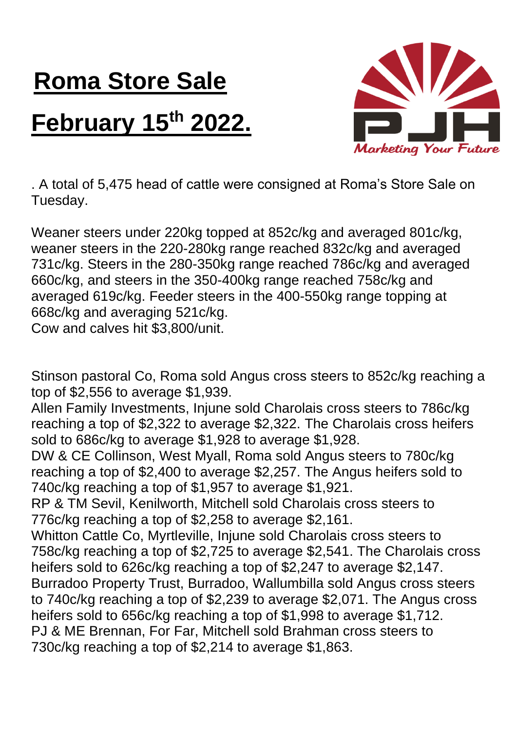## **Roma Store Sale February 15th 2022.**



. A total of 5,475 head of cattle were consigned at Roma's Store Sale on Tuesday.

Weaner steers under 220kg topped at 852c/kg and averaged 801c/kg, weaner steers in the 220-280kg range reached 832c/kg and averaged 731c/kg. Steers in the 280-350kg range reached 786c/kg and averaged 660c/kg, and steers in the 350-400kg range reached 758c/kg and averaged 619c/kg. Feeder steers in the 400-550kg range topping at 668c/kg and averaging 521c/kg.

Cow and calves hit \$3,800/unit.

Stinson pastoral Co, Roma sold Angus cross steers to 852c/kg reaching a top of \$2,556 to average \$1,939.

Allen Family Investments, Injune sold Charolais cross steers to 786c/kg reaching a top of \$2,322 to average \$2,322. The Charolais cross heifers sold to 686c/kg to average \$1,928 to average \$1,928.

DW & CE Collinson, West Myall, Roma sold Angus steers to 780c/kg reaching a top of \$2,400 to average \$2,257. The Angus heifers sold to 740c/kg reaching a top of \$1,957 to average \$1,921.

RP & TM Sevil, Kenilworth, Mitchell sold Charolais cross steers to 776c/kg reaching a top of \$2,258 to average \$2,161.

Whitton Cattle Co, Myrtleville, Injune sold Charolais cross steers to 758c/kg reaching a top of \$2,725 to average \$2,541. The Charolais cross heifers sold to 626c/kg reaching a top of \$2,247 to average \$2,147. Burradoo Property Trust, Burradoo, Wallumbilla sold Angus cross steers to 740c/kg reaching a top of \$2,239 to average \$2,071. The Angus cross heifers sold to 656c/kg reaching a top of \$1,998 to average \$1,712. PJ & ME Brennan, For Far, Mitchell sold Brahman cross steers to 730c/kg reaching a top of \$2,214 to average \$1,863.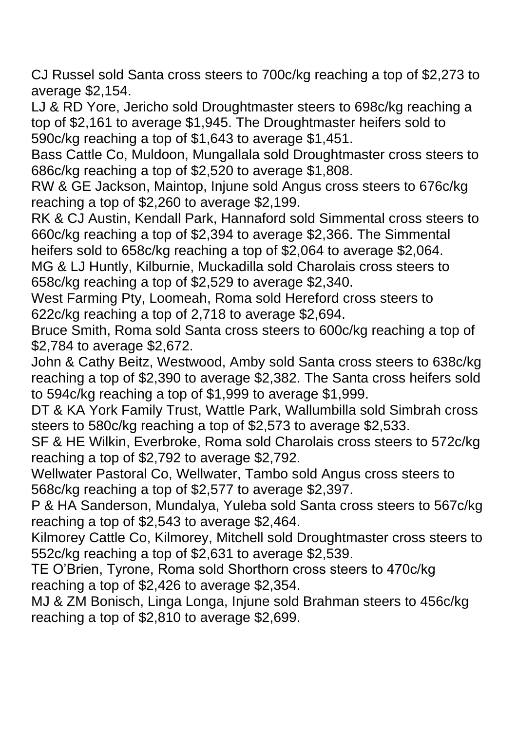CJ Russel sold Santa cross steers to 700c/kg reaching a top of \$2,273 to average \$2,154.

LJ & RD Yore, Jericho sold Droughtmaster steers to 698c/kg reaching a top of \$2,161 to average \$1,945. The Droughtmaster heifers sold to 590c/kg reaching a top of \$1,643 to average \$1,451.

Bass Cattle Co, Muldoon, Mungallala sold Droughtmaster cross steers to 686c/kg reaching a top of \$2,520 to average \$1,808.

RW & GE Jackson, Maintop, Injune sold Angus cross steers to 676c/kg reaching a top of \$2,260 to average \$2,199.

RK & CJ Austin, Kendall Park, Hannaford sold Simmental cross steers to 660c/kg reaching a top of \$2,394 to average \$2,366. The Simmental heifers sold to 658c/kg reaching a top of \$2,064 to average \$2,064.

MG & LJ Huntly, Kilburnie, Muckadilla sold Charolais cross steers to 658c/kg reaching a top of \$2,529 to average \$2,340.

West Farming Pty, Loomeah, Roma sold Hereford cross steers to 622c/kg reaching a top of 2,718 to average \$2,694.

Bruce Smith, Roma sold Santa cross steers to 600c/kg reaching a top of \$2,784 to average \$2,672.

John & Cathy Beitz, Westwood, Amby sold Santa cross steers to 638c/kg reaching a top of \$2,390 to average \$2,382. The Santa cross heifers sold to 594c/kg reaching a top of \$1,999 to average \$1,999.

DT & KA York Family Trust, Wattle Park, Wallumbilla sold Simbrah cross steers to 580c/kg reaching a top of \$2,573 to average \$2,533.

SF & HE Wilkin, Everbroke, Roma sold Charolais cross steers to 572c/kg reaching a top of \$2,792 to average \$2,792.

Wellwater Pastoral Co, Wellwater, Tambo sold Angus cross steers to 568c/kg reaching a top of \$2,577 to average \$2,397.

P & HA Sanderson, Mundalya, Yuleba sold Santa cross steers to 567c/kg reaching a top of \$2,543 to average \$2,464.

Kilmorey Cattle Co, Kilmorey, Mitchell sold Droughtmaster cross steers to 552c/kg reaching a top of \$2,631 to average \$2,539.

TE O'Brien, Tyrone, Roma sold Shorthorn cross steers to 470c/kg reaching a top of \$2,426 to average \$2,354.

MJ & ZM Bonisch, Linga Longa, Injune sold Brahman steers to 456c/kg reaching a top of \$2,810 to average \$2,699.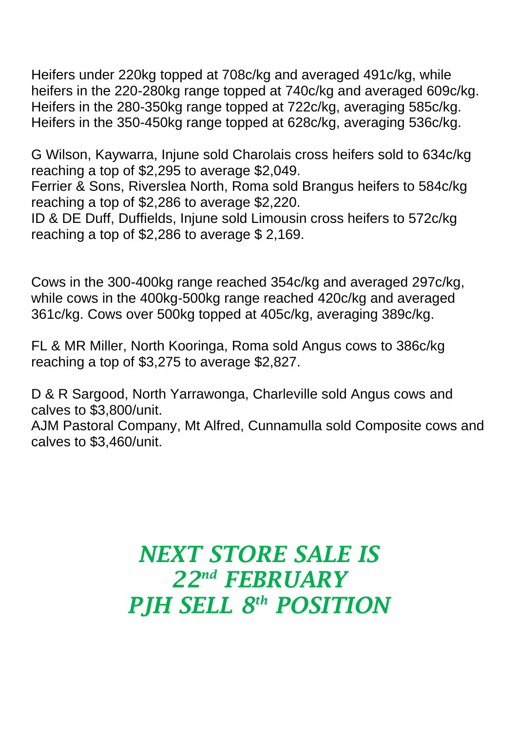Heifers under 220kg topped at 708c/kg and averaged 491c/kg, while heifers in the 220-280kg range topped at 740c/kg and averaged 609c/kg. Heifers in the 280-350kg range topped at 722c/kg, averaging 585c/kg. Heifers in the 350-450kg range topped at 628c/kg, averaging 536c/kg.

G Wilson, Kaywarra, Injune sold Charolais cross heifers sold to 634c/kg reaching a top of \$2,295 to average \$2,049.

Ferrier & Sons, Riverslea North, Roma sold Brangus heifers to 584c/kg reaching a top of \$2,286 to average \$2,220.

ID & DE Duff, Duffields, Injune sold Limousin cross heifers to 572c/kg reaching a top of \$2,286 to average \$ 2,169.

Cows in the 300-400kg range reached 354c/kg and averaged 297c/kg, while cows in the 400kg-500kg range reached 420c/kg and averaged 361c/kg. Cows over 500kg topped at 405c/kg, averaging 389c/kg.

FL & MR Miller, North Kooringa, Roma sold Angus cows to 386c/kg reaching a top of \$3,275 to average \$2,827.

D & R Sargood, North Yarrawonga, Charleville sold Angus cows and calves to \$3,800/unit.

AJM Pastoral Company, Mt Alfred, Cunnamulla sold Composite cows and calves to \$3,460/unit.

## *NEXT STORE SALE IS 22nd FEBRUARY PJH SELL 8 th POSITION*